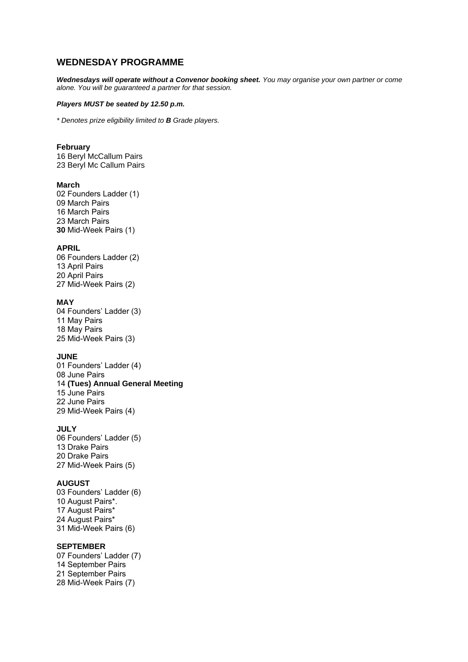# **WEDNESDAY PROGRAMME**

*Wednesdays will operate without a Convenor booking sheet. You may organise your own partner or come alone. You will be guaranteed a partner for that session.*

#### *Players MUST be seated by 12.50 p.m.*

*\* Denotes prize eligibility limited to B Grade players.*

### **February**

16 Beryl McCallum Pairs 23 Beryl Mc Callum Pairs

### **March**

02 Founders Ladder (1) 09 March Pairs 16 March Pairs 23 March Pairs **30** Mid-Week Pairs (1)

#### **APRIL**

06 Founders Ladder (2) 13 April Pairs 20 April Pairs 27 Mid-Week Pairs (2)

#### **MAY**

04 Founders' Ladder (3) 11 May Pairs 18 May Pairs 25 Mid-Week Pairs (3)

## **JUNE**

01 Founders' Ladder (4) 08 June Pairs 14 **(Tues) Annual General Meeting** 15 June Pairs 22 June Pairs 29 Mid-Week Pairs (4)

# **JULY**

06 Founders' Ladder (5) 13 Drake Pairs 20 Drake Pairs 27 Mid-Week Pairs (5)

### **AUGUST**

03 Founders' Ladder (6) 10 August Pairs\*. 17 August Pairs\* 24 August Pairs\* 31 Mid-Week Pairs (6)

## **SEPTEMBER**

07 Founders' Ladder (7) 14 September Pairs 21 September Pairs 28 Mid-Week Pairs (7)